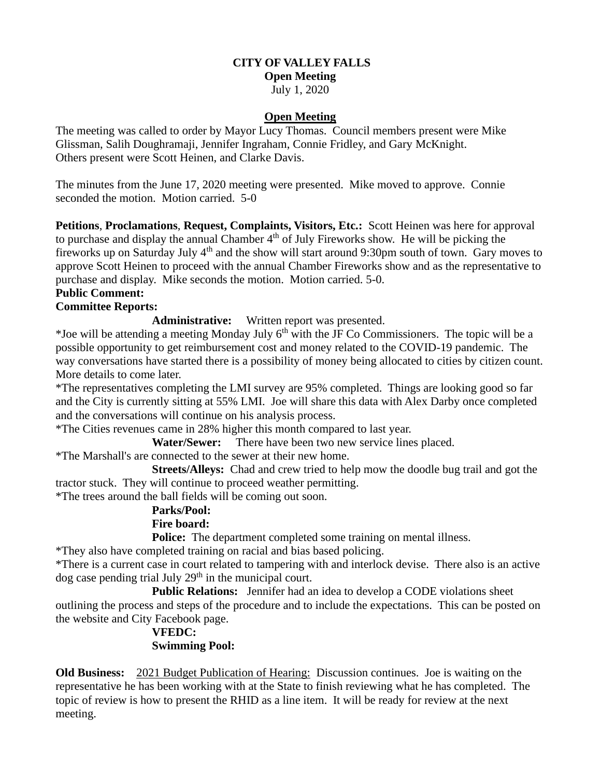#### **CITY OF VALLEY FALLS Open Meeting**

July 1, 2020

## **Open Meeting**

The meeting was called to order by Mayor Lucy Thomas. Council members present were Mike Glissman, Salih Doughramaji, Jennifer Ingraham, Connie Fridley, and Gary McKnight. Others present were Scott Heinen, and Clarke Davis.

The minutes from the June 17, 2020 meeting were presented. Mike moved to approve. Connie seconded the motion. Motion carried. 5-0

**Petitions**, **Proclamations**, **Request, Complaints, Visitors, Etc.:** Scott Heinen was here for approval to purchase and display the annual Chamber 4<sup>th</sup> of July Fireworks show. He will be picking the fireworks up on Saturday July 4<sup>th</sup> and the show will start around 9:30pm south of town. Gary moves to approve Scott Heinen to proceed with the annual Chamber Fireworks show and as the representative to purchase and display. Mike seconds the motion. Motion carried. 5-0.

# **Public Comment:**

## **Committee Reports:**

**Administrative:** Written report was presented.

\*Joe will be attending a meeting Monday July  $6<sup>th</sup>$  with the JF Co Commissioners. The topic will be a possible opportunity to get reimbursement cost and money related to the COVID-19 pandemic. The way conversations have started there is a possibility of money being allocated to cities by citizen count. More details to come later.

\*The representatives completing the LMI survey are 95% completed. Things are looking good so far and the City is currently sitting at 55% LMI. Joe will share this data with Alex Darby once completed and the conversations will continue on his analysis process.

\*The Cities revenues came in 28% higher this month compared to last year.

**Water/Sewer:** There have been two new service lines placed.

\*The Marshall's are connected to the sewer at their new home.

 **Streets/Alleys:** Chad and crew tried to help mow the doodle bug trail and got the tractor stuck. They will continue to proceed weather permitting.

\*The trees around the ball fields will be coming out soon.

## **Parks/Pool:**

## **Fire board:**

**Police:** The department completed some training on mental illness.

\*They also have completed training on racial and bias based policing.

\*There is a current case in court related to tampering with and interlock devise. There also is an active  $\log$  case pending trial July 29<sup>th</sup> in the municipal court.

**Public Relations:** Jennifer had an idea to develop a CODE violations sheet outlining the process and steps of the procedure and to include the expectations. This can be posted on the website and City Facebook page.

# **VFEDC: Swimming Pool:**

**Old Business:** 2021 Budget Publication of Hearing: Discussion continues. Joe is waiting on the representative he has been working with at the State to finish reviewing what he has completed. The topic of review is how to present the RHID as a line item. It will be ready for review at the next meeting.